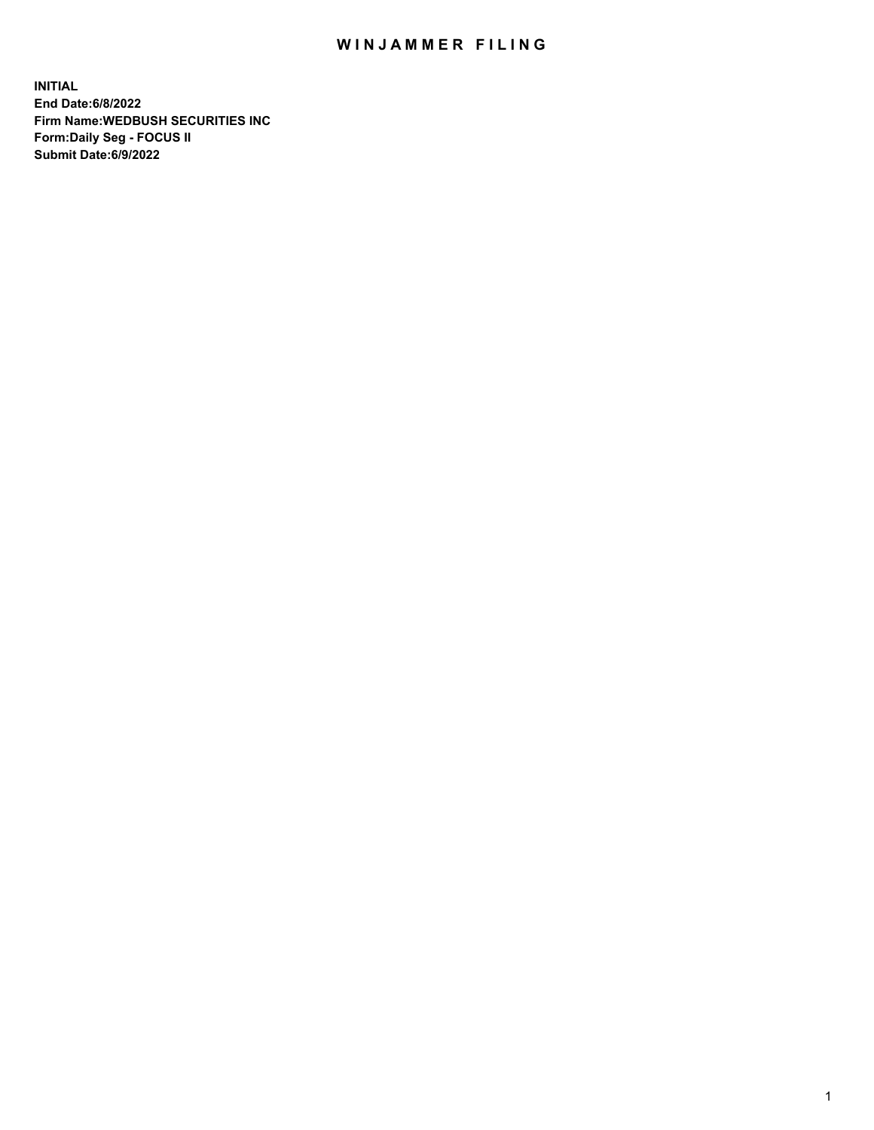## WIN JAMMER FILING

**INITIAL End Date:6/8/2022 Firm Name:WEDBUSH SECURITIES INC Form:Daily Seg - FOCUS II Submit Date:6/9/2022**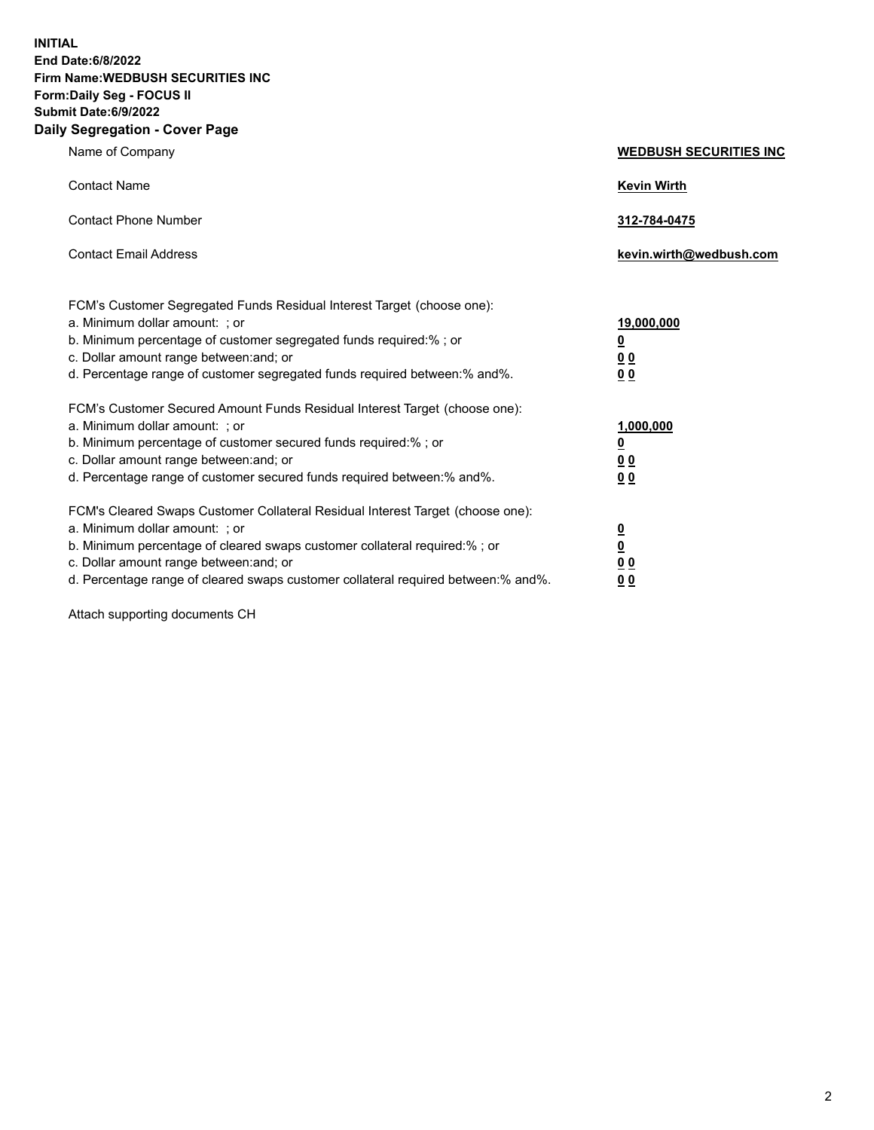**INITIAL End Date:6/8/2022 Firm Name:WEDBUSH SECURITIES INC Form:Daily Seg - FOCUS II Submit Date:6/9/2022 Daily Segregation - Cover Page**

| $-99.99$ and $-99.0$<br>Name of Company                                                                                                                                                                                                                                                                                        | <b>WEDBUSH SECURITIES INC</b>                                  |
|--------------------------------------------------------------------------------------------------------------------------------------------------------------------------------------------------------------------------------------------------------------------------------------------------------------------------------|----------------------------------------------------------------|
| <b>Contact Name</b>                                                                                                                                                                                                                                                                                                            | <b>Kevin Wirth</b>                                             |
| <b>Contact Phone Number</b>                                                                                                                                                                                                                                                                                                    | 312-784-0475                                                   |
| <b>Contact Email Address</b>                                                                                                                                                                                                                                                                                                   | kevin.wirth@wedbush.com                                        |
| FCM's Customer Segregated Funds Residual Interest Target (choose one):<br>a. Minimum dollar amount: ; or<br>b. Minimum percentage of customer segregated funds required:% ; or<br>c. Dollar amount range between: and; or<br>d. Percentage range of customer segregated funds required between:% and%.                         | <u>19,000,000</u><br><u>0</u><br><u>00</u><br>0 <sub>0</sub>   |
| FCM's Customer Secured Amount Funds Residual Interest Target (choose one):<br>a. Minimum dollar amount: ; or<br>b. Minimum percentage of customer secured funds required:%; or<br>c. Dollar amount range between: and; or<br>d. Percentage range of customer secured funds required between: % and %.                          | 1,000,000<br><u>0</u><br><u>00</u><br>0 <sub>0</sub>           |
| FCM's Cleared Swaps Customer Collateral Residual Interest Target (choose one):<br>a. Minimum dollar amount: ; or<br>b. Minimum percentage of cleared swaps customer collateral required:% ; or<br>c. Dollar amount range between: and; or<br>d. Percentage range of cleared swaps customer collateral required between:% and%. | $\overline{\mathbf{0}}$<br>$\overline{\mathbf{0}}$<br>00<br>00 |

Attach supporting documents CH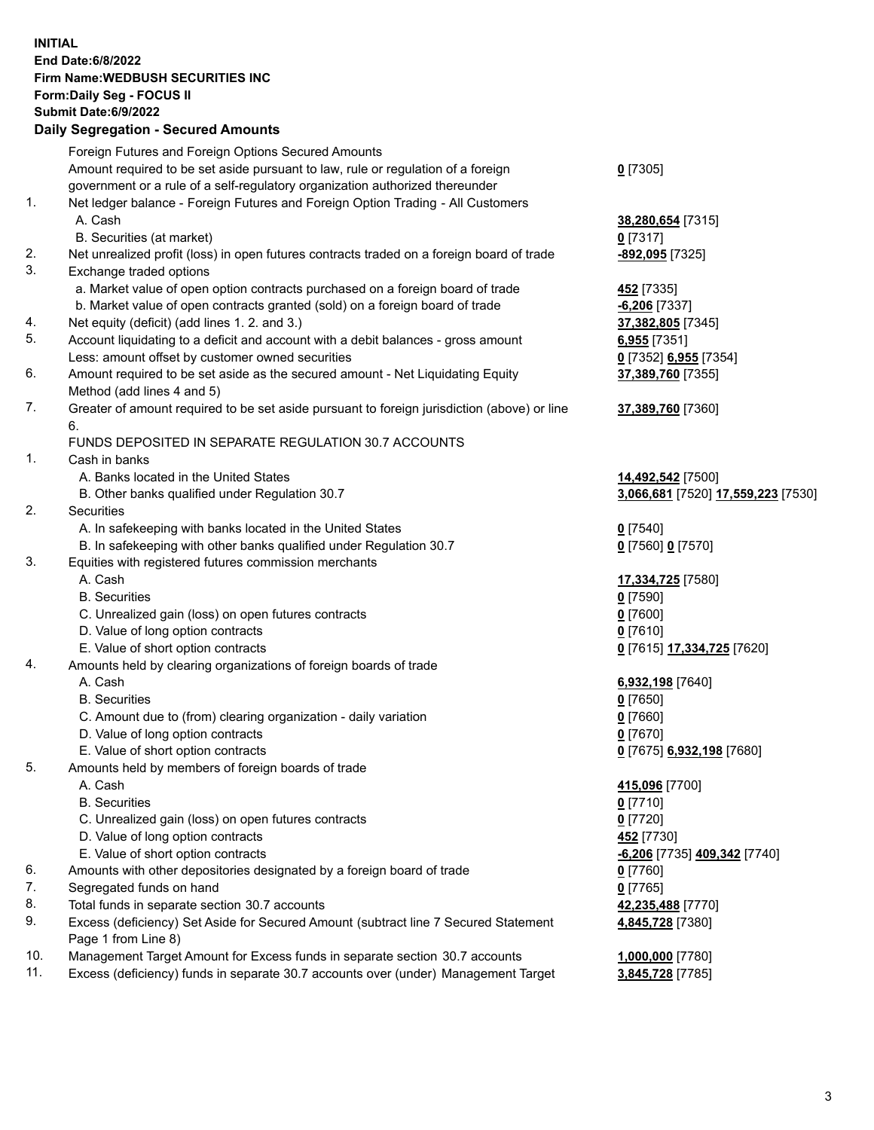**INITIAL End Date:6/8/2022 Firm Name:WEDBUSH SECURITIES INC Form:Daily Seg - FOCUS II Submit Date:6/9/2022 Daily Segregation - Secured Amounts**

|     | Pany Obyroganon Oboaroa Annoania                                                                           |                                    |
|-----|------------------------------------------------------------------------------------------------------------|------------------------------------|
|     | Foreign Futures and Foreign Options Secured Amounts                                                        |                                    |
|     | Amount required to be set aside pursuant to law, rule or regulation of a foreign                           | $0$ [7305]                         |
|     | government or a rule of a self-regulatory organization authorized thereunder                               |                                    |
| 1.  | Net ledger balance - Foreign Futures and Foreign Option Trading - All Customers                            |                                    |
|     | A. Cash                                                                                                    | 38,280,654 [7315]                  |
|     | B. Securities (at market)                                                                                  | $0$ [7317]                         |
| 2.  | Net unrealized profit (loss) in open futures contracts traded on a foreign board of trade                  | -892,095 [7325]                    |
| 3.  | Exchange traded options                                                                                    |                                    |
|     | a. Market value of open option contracts purchased on a foreign board of trade                             | <b>452</b> [7335]                  |
|     | b. Market value of open contracts granted (sold) on a foreign board of trade                               | $-6,206$ [7337]                    |
| 4.  | Net equity (deficit) (add lines 1. 2. and 3.)                                                              | 37,382,805 [7345]                  |
| 5.  | Account liquidating to a deficit and account with a debit balances - gross amount                          | $6,955$ [7351]                     |
|     | Less: amount offset by customer owned securities                                                           | 0 [7352] 6,955 [7354]              |
| 6.  | Amount required to be set aside as the secured amount - Net Liquidating Equity                             | 37,389,760 [7355]                  |
|     | Method (add lines 4 and 5)                                                                                 |                                    |
| 7.  | Greater of amount required to be set aside pursuant to foreign jurisdiction (above) or line                | 37,389,760 [7360]                  |
|     | 6.                                                                                                         |                                    |
|     | FUNDS DEPOSITED IN SEPARATE REGULATION 30.7 ACCOUNTS                                                       |                                    |
| 1.  | Cash in banks                                                                                              |                                    |
|     | A. Banks located in the United States                                                                      | 14,492,542 [7500]                  |
|     | B. Other banks qualified under Regulation 30.7                                                             | 3,066,681 [7520] 17,559,223 [7530] |
| 2.  | Securities                                                                                                 |                                    |
|     | A. In safekeeping with banks located in the United States                                                  | $0$ [7540]                         |
|     | B. In safekeeping with other banks qualified under Regulation 30.7                                         | 0 [7560] 0 [7570]                  |
| 3.  | Equities with registered futures commission merchants                                                      |                                    |
|     | A. Cash                                                                                                    | 17,334,725 [7580]                  |
|     | <b>B.</b> Securities                                                                                       | $0$ [7590]                         |
|     | C. Unrealized gain (loss) on open futures contracts                                                        | $0$ [7600]                         |
|     | D. Value of long option contracts                                                                          | $0$ [7610]                         |
|     | E. Value of short option contracts                                                                         | 0 [7615] 17,334,725 [7620]         |
| 4.  | Amounts held by clearing organizations of foreign boards of trade                                          |                                    |
|     | A. Cash                                                                                                    | 6,932,198 [7640]                   |
|     | <b>B.</b> Securities                                                                                       | $0$ [7650]                         |
|     | C. Amount due to (from) clearing organization - daily variation                                            | $0$ [7660]                         |
|     | D. Value of long option contracts                                                                          | $0$ [7670]                         |
|     | E. Value of short option contracts                                                                         | 0 [7675] 6,932,198 [7680]          |
| 5.  | Amounts held by members of foreign boards of trade                                                         |                                    |
|     | A. Cash                                                                                                    | 415,096 [7700]                     |
|     | <b>B.</b> Securities                                                                                       | $0$ [7710]                         |
|     | C. Unrealized gain (loss) on open futures contracts                                                        | $0$ [7720]                         |
|     | D. Value of long option contracts                                                                          | 452 [7730]                         |
|     | E. Value of short option contracts                                                                         | -6,206 [7735] 409,342 [7740]       |
| 6.  | Amounts with other depositories designated by a foreign board of trade                                     | $0$ [7760]                         |
| 7.  | Segregated funds on hand                                                                                   | $0$ [7765]                         |
| 8.  | Total funds in separate section 30.7 accounts                                                              | 42,235,488 [7770]                  |
| 9.  | Excess (deficiency) Set Aside for Secured Amount (subtract line 7 Secured Statement<br>Page 1 from Line 8) | 4,845,728 [7380]                   |
| 10. | Management Target Amount for Excess funds in separate section 30.7 accounts                                | 1,000,000 [7780]                   |
| 11. | Excess (deficiency) funds in separate 30.7 accounts over (under) Management Target                         | 3,845,728 [7785]                   |
|     |                                                                                                            |                                    |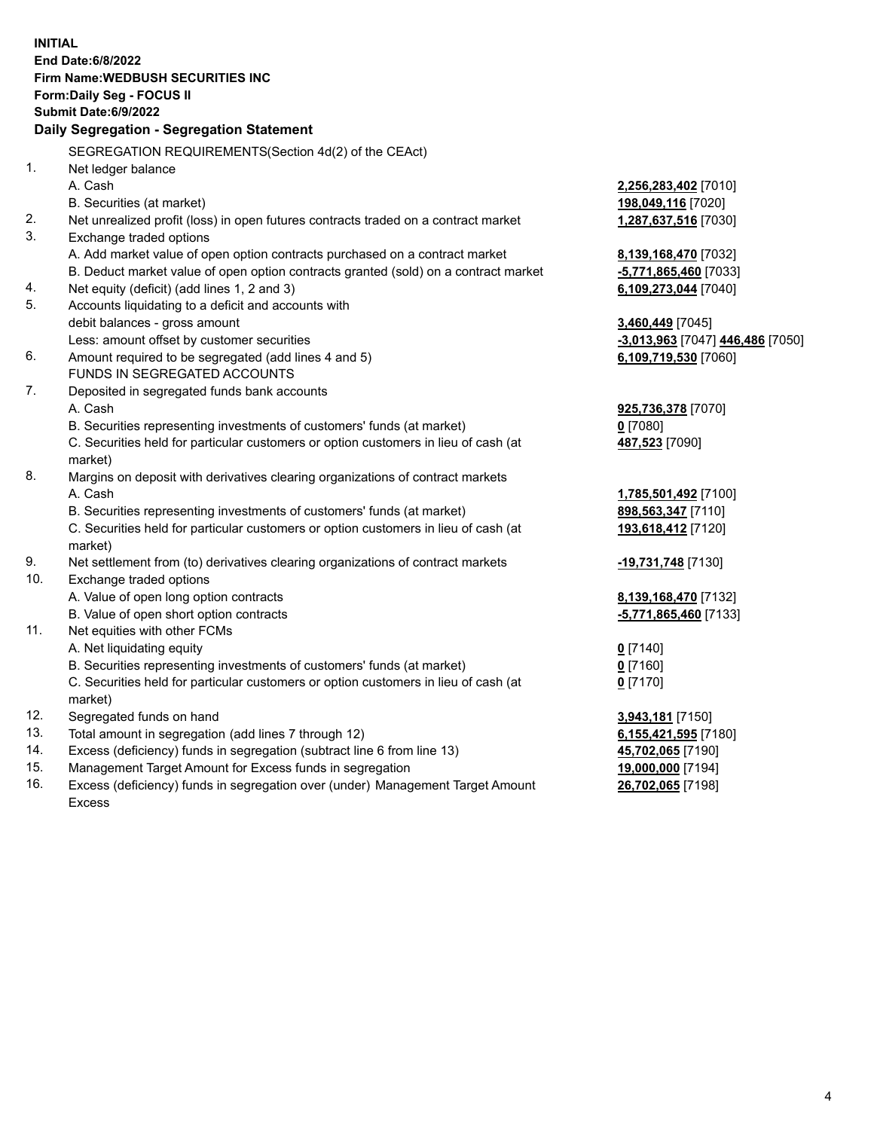|     | <b>INITIAL</b>                                                                            |                                            |
|-----|-------------------------------------------------------------------------------------------|--------------------------------------------|
|     | <b>End Date:6/8/2022</b>                                                                  |                                            |
|     | <b>Firm Name: WEDBUSH SECURITIES INC</b>                                                  |                                            |
|     | <b>Form:Daily Seg - FOCUS II</b>                                                          |                                            |
|     | Submit Date: 6/9/2022                                                                     |                                            |
|     | Daily Segregation - Segregation Statement                                                 |                                            |
|     | SEGREGATION REQUIREMENTS(Section 4d(2) of the CEAct)                                      |                                            |
| 1.  | Net ledger balance                                                                        |                                            |
|     | A. Cash                                                                                   | 2,256,283,402 [7010]                       |
|     | B. Securities (at market)                                                                 | 198,049,116 [7020]                         |
| 2.  | Net unrealized profit (loss) in open futures contracts traded on a contract market        | 1,287,637,516 [7030]                       |
| 3.  | Exchange traded options                                                                   |                                            |
|     | A. Add market value of open option contracts purchased on a contract market               | 8,139,168,470 [7032]                       |
|     | B. Deduct market value of open option contracts granted (sold) on a contract market       | -5,771,865,460 [7033]                      |
| 4.  | Net equity (deficit) (add lines 1, 2 and 3)                                               | 6,109,273,044 [7040]                       |
| 5.  | Accounts liquidating to a deficit and accounts with                                       |                                            |
|     | debit balances - gross amount                                                             | 3,460,449 [7045]                           |
|     | Less: amount offset by customer securities                                                | -3,013,963 [7047] 446,486 [7050]           |
| 6.  | Amount required to be segregated (add lines 4 and 5)                                      | 6,109,719,530 [7060]                       |
|     | FUNDS IN SEGREGATED ACCOUNTS                                                              |                                            |
| 7.  | Deposited in segregated funds bank accounts                                               |                                            |
|     | A. Cash                                                                                   | 925,736,378 [7070]                         |
|     | B. Securities representing investments of customers' funds (at market)                    | $0$ [7080]                                 |
|     | C. Securities held for particular customers or option customers in lieu of cash (at       | 487,523 [7090]                             |
| 8.  | market)                                                                                   |                                            |
|     | Margins on deposit with derivatives clearing organizations of contract markets<br>A. Cash |                                            |
|     | B. Securities representing investments of customers' funds (at market)                    | 1,785,501,492 [7100]<br>898,563,347 [7110] |
|     | C. Securities held for particular customers or option customers in lieu of cash (at       | 193,618,412 [7120]                         |
|     | market)                                                                                   |                                            |
| 9.  | Net settlement from (to) derivatives clearing organizations of contract markets           | -19,731,748 [7130]                         |
| 10. | Exchange traded options                                                                   |                                            |
|     | A. Value of open long option contracts                                                    | 8,139,168,470 [7132]                       |
|     | B. Value of open short option contracts                                                   | -5,771,865,460 [7133]                      |
| 11. | Net equities with other FCMs                                                              |                                            |
|     | A. Net liquidating equity                                                                 | $0$ [7140]                                 |
|     | B. Securities representing investments of customers' funds (at market)                    | $0$ [7160]                                 |
|     | C. Securities held for particular customers or option customers in lieu of cash (at       | $0$ [7170]                                 |
|     | market)                                                                                   |                                            |
| 12. | Segregated funds on hand                                                                  | 3,943,181 [7150]                           |
| 13. | Total amount in segregation (add lines 7 through 12)                                      | 6,155,421,595 [7180]                       |
| 14. | Excess (deficiency) funds in segregation (subtract line 6 from line 13)                   | 45,702,065 [7190]                          |
| 15. | Management Target Amount for Excess funds in segregation                                  | 19,000,000 [7194]                          |
| 16. | Excess (deficiency) funds in segregation over (under) Management Target Amount            | 26,702,065 [7198]                          |

16. Excess (deficiency) funds in segregation over (under) Management Target Amount Excess